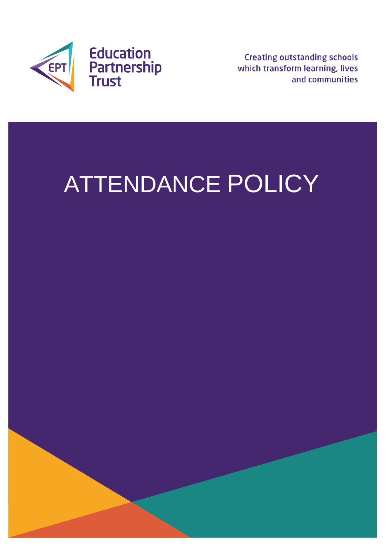

**Creating outstanding schools** which transform learning, lives and communities

# ATTENDANCE POLICY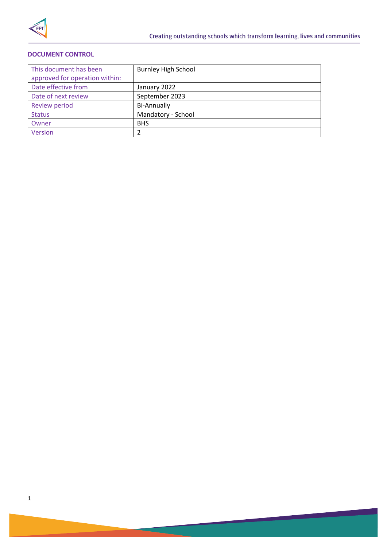

## **DOCUMENT CONTROL**

| This document has been         | <b>Burnley High School</b> |
|--------------------------------|----------------------------|
| approved for operation within: |                            |
| Date effective from            | January 2022               |
| Date of next review            | September 2023             |
| <b>Review period</b>           | <b>Bi-Annually</b>         |
| <b>Status</b>                  | Mandatory - School         |
| Owner                          | <b>BHS</b>                 |
| Version                        | 2                          |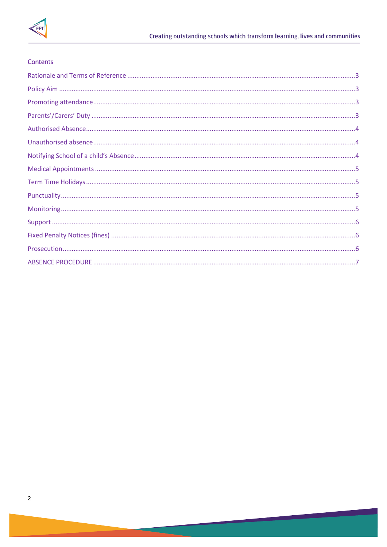

## Contents

<u> a shekara t</u>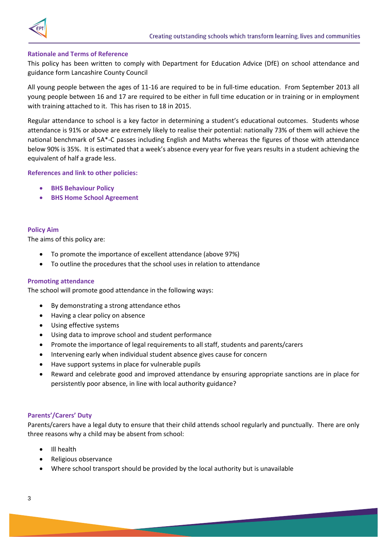<span id="page-3-0"></span>

#### **Rationale and Terms of Reference**

This policy has been written to comply with Department for Education Advice (DfE) on school attendance and guidance form Lancashire County Council

All young people between the ages of 11-16 are required to be in full-time education. From September 2013 all young people between 16 and 17 are required to be either in full time education or in training or in employment with training attached to it. This has risen to 18 in 2015.

Regular attendance to school is a key factor in determining a student's educational outcomes. Students whose attendance is 91% or above are extremely likely to realise their potential: nationally 73% of them will achieve the national benchmark of 5A\*-C passes including English and Maths whereas the figures of those with attendance below 90% is 35%. It is estimated that a week's absence every year for five years results in a student achieving the equivalent of half a grade less.

#### **References and link to other policies:**

- **BHS Behaviour Policy**
- **BHS Home School Agreement**

#### <span id="page-3-1"></span>**Policy Aim**

The aims of this policy are:

- To promote the importance of excellent attendance (above 97%)
- To outline the procedures that the school uses in relation to attendance

#### <span id="page-3-2"></span>**Promoting attendance**

The school will promote good attendance in the following ways:

- By demonstrating a strong attendance ethos
- Having a clear policy on absence
- Using effective systems
- Using data to improve school and student performance
- Promote the importance of legal requirements to all staff, students and parents/carers
- Intervening early when individual student absence gives cause for concern
- Have support systems in place for vulnerable pupils
- Reward and celebrate good and improved attendance by ensuring appropriate sanctions are in place for persistently poor absence, in line with local authority guidance?

## <span id="page-3-3"></span>**Parents'/Carers' Duty**

Parents/carers have a legal duty to ensure that their child attends school regularly and punctually. There are only three reasons why a child may be absent from school:

- Ill health
- Religious observance
- Where school transport should be provided by the local authority but is unavailable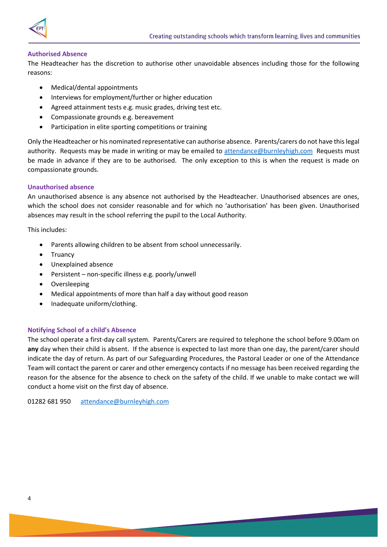

## <span id="page-4-0"></span>**Authorised Absence**

The Headteacher has the discretion to authorise other unavoidable absences including those for the following reasons:

- Medical/dental appointments
- Interviews for employment/further or higher education
- Agreed attainment tests e.g. music grades, driving test etc.
- Compassionate grounds e.g. bereavement
- Participation in elite sporting competitions or training

Only the Headteacher or his nominated representative can authorise absence. Parents/carers do not have this legal authority. Requests may be made in writing or may be emailed to [attendance@burnleyhigh.com](mailto:attendance@burnleyhigh.com) Requests must be made in advance if they are to be authorised. The only exception to this is when the request is made on compassionate grounds.

## <span id="page-4-1"></span>**Unauthorised absence**

An unauthorised absence is any absence not authorised by the Headteacher. Unauthorised absences are ones, which the school does not consider reasonable and for which no 'authorisation' has been given. Unauthorised absences may result in the school referring the pupil to the Local Authority.

This includes:

- Parents allowing children to be absent from school unnecessarily.
- Truancy
- Unexplained absence
- Persistent non-specific illness e.g. poorly/unwell
- Oversleeping
- Medical appointments of more than half a day without good reason
- Inadequate uniform/clothing.

## <span id="page-4-2"></span>**Notifying School of a child's Absence**

The school operate a first-day call system. Parents/Carers are required to telephone the school before 9.00am on **any** day when their child is absent. If the absence is expected to last more than one day, the parent/carer should indicate the day of return. As part of our Safeguarding Procedures, the Pastoral Leader or one of the Attendance Team will contact the parent or carer and other emergency contacts if no message has been received regarding the reason for the absence for the absence to check on the safety of the child. If we unable to make contact we will conduct a home visit on the first day of absence.

01282 681 950 [attendance@burnleyhigh.com](mailto:attendance@burnleyhigh.com)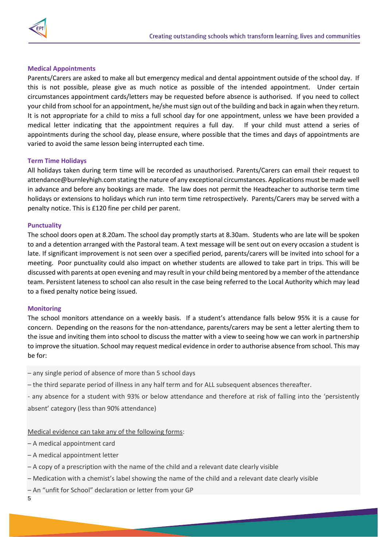

## <span id="page-5-0"></span>**Medical Appointments**

Parents/Carers are asked to make all but emergency medical and dental appointment outside of the school day. If this is not possible, please give as much notice as possible of the intended appointment. Under certain circumstances appointment cards/letters may be requested before absence is authorised. If you need to collect your child from school for an appointment, he/she must sign out of the building and back in again when they return. It is not appropriate for a child to miss a full school day for one appointment, unless we have been provided a medical letter indicating that the appointment requires a full day. If your child must attend a series of appointments during the school day, please ensure, where possible that the times and days of appointments are varied to avoid the same lesson being interrupted each time.

## <span id="page-5-1"></span>**Term Time Holidays**

All holidays taken during term time will be recorded as unauthorised. Parents/Carers can email their request to attendance@burnleyhigh.com stating the nature of any exceptional circumstances. Applications must be made well in advance and before any bookings are made. The law does not permit the Headteacher to authorise term time holidays or extensions to holidays which run into term time retrospectively. Parents/Carers may be served with a penalty notice. This is £120 fine per child per parent.

#### <span id="page-5-2"></span>**Punctuality**

The school doors open at 8.20am. The school day promptly starts at 8.30am. Students who are late will be spoken to and a detention arranged with the Pastoral team. A text message will be sent out on every occasion a student is late. If significant improvement is not seen over a specified period, parents/carers will be invited into school for a meeting. Poor punctuality could also impact on whether students are allowed to take part in trips. This will be discussed with parents at open evening and may result in your child being mentored by a member of the attendance team. Persistent lateness to school can also result in the case being referred to the Local Authority which may lead to a fixed penalty notice being issued.

## <span id="page-5-3"></span>**Monitoring**

The school monitors attendance on a weekly basis. If a student's attendance falls below 95% it is a cause for concern. Depending on the reasons for the non-attendance, parents/carers may be sent a letter alerting them to the issue and inviting them into school to discuss the matter with a view to seeing how we can work in partnership to improve the situation. School may request medical evidence in order to authorise absence from school. This may be for:

– any single period of absence of more than 5 school days

– the third separate period of illness in any half term and for ALL subsequent absences thereafter.

- any absence for a student with 93% or below attendance and therefore at risk of falling into the 'persistently absent' category (less than 90% attendance)

Medical evidence can take any of the following forms:

– A medical appointment card

- A medical appointment letter
- A copy of a prescription with the name of the child and a relevant date clearly visible
- Medication with a chemist's label showing the name of the child and a relevant date clearly visible
- An "unfit for School" declaration or letter from your GP

5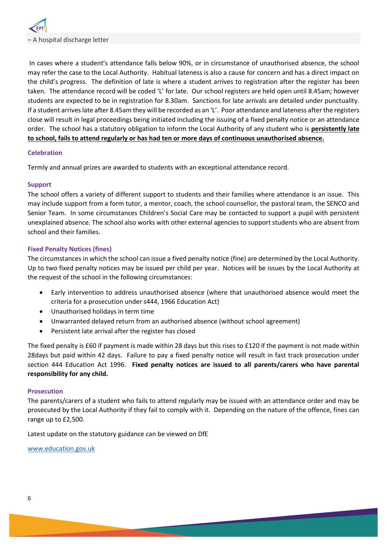

In cases where a student's attendance falls below 90%, or in circumstance of unauthorised absence, the school may refer the case to the Local Authority. Habitual lateness is also a cause for concern and has a direct impact on the child's progress. The definition of late is where a student arrives to registration after the register has been taken. The attendance record will be coded 'L' for late. Our school registers are held open until 8.45am; however students are expected to be in registration for 8.30am. Sanctions for late arrivals are detailed under punctuality. If a student arrives late after 8.45am they will be recorded as an 'L'. Poor attendance and lateness after the registers close will result in legal proceedings being initiated including the issuing of a fixed penalty notice or an attendance order. The school has a statutory obligation to inform the Local Authority of any student who is **persistently late to school, fails to attend regularly or has had ten or more days of continuous unauthorised absence.**

#### **Celebration**

Termly and annual prizes are awarded to students with an exceptional attendance record.

#### <span id="page-6-0"></span>**Support**

The school offers a variety of different support to students and their families where attendance is an issue. This may include support from a form tutor, a mentor, coach, the school counsellor, the pastoral team, the SENCO and Senior Team. In some circumstances Children's Social Care may be contacted to support a pupil with persistent unexplained absence. The school also works with other external agencies to support students who are absent from school and their families.

#### <span id="page-6-1"></span>**Fixed Penalty Notices (fines)**

The circumstances in which the school can issue a fived penalty notice (fine) are determined by the Local Authority. Up to two fixed penalty notices may be issued per child per year. Notices will be issues by the Local Authority at the request of the school in the following circumstances:

- Early intervention to address unauthorised absence (where that unauthorised absence would meet the criteria for a prosecution under s444, 1966 Education Act)
- Unauthorised holidays in term time
- Unwarranted delayed return from an authorised absence (without school agreement)
- Persistent late arrival after the register has closed

The fixed penalty is £60 if payment is made within 28 days but this rises to £120 if the payment is not made within 28days but paid within 42 days. Failure to pay a fixed penalty notice will result in fast track prosecution under section 444 Education Act 1996. **Fixed penalty notices are issued to all parents/carers who have parental responsibility for any child.**

#### <span id="page-6-2"></span>**Prosecution**

The parents/carers of a student who fails to attend regularly may be issued with an attendance order and may be prosecuted by the Local Authority if they fail to comply with it. Depending on the nature of the offence, fines can range up to £2,500.

Latest update on the statutory guidance can be viewed on DfE

[www.education.gov.uk](http://www.education.gov.uk/)